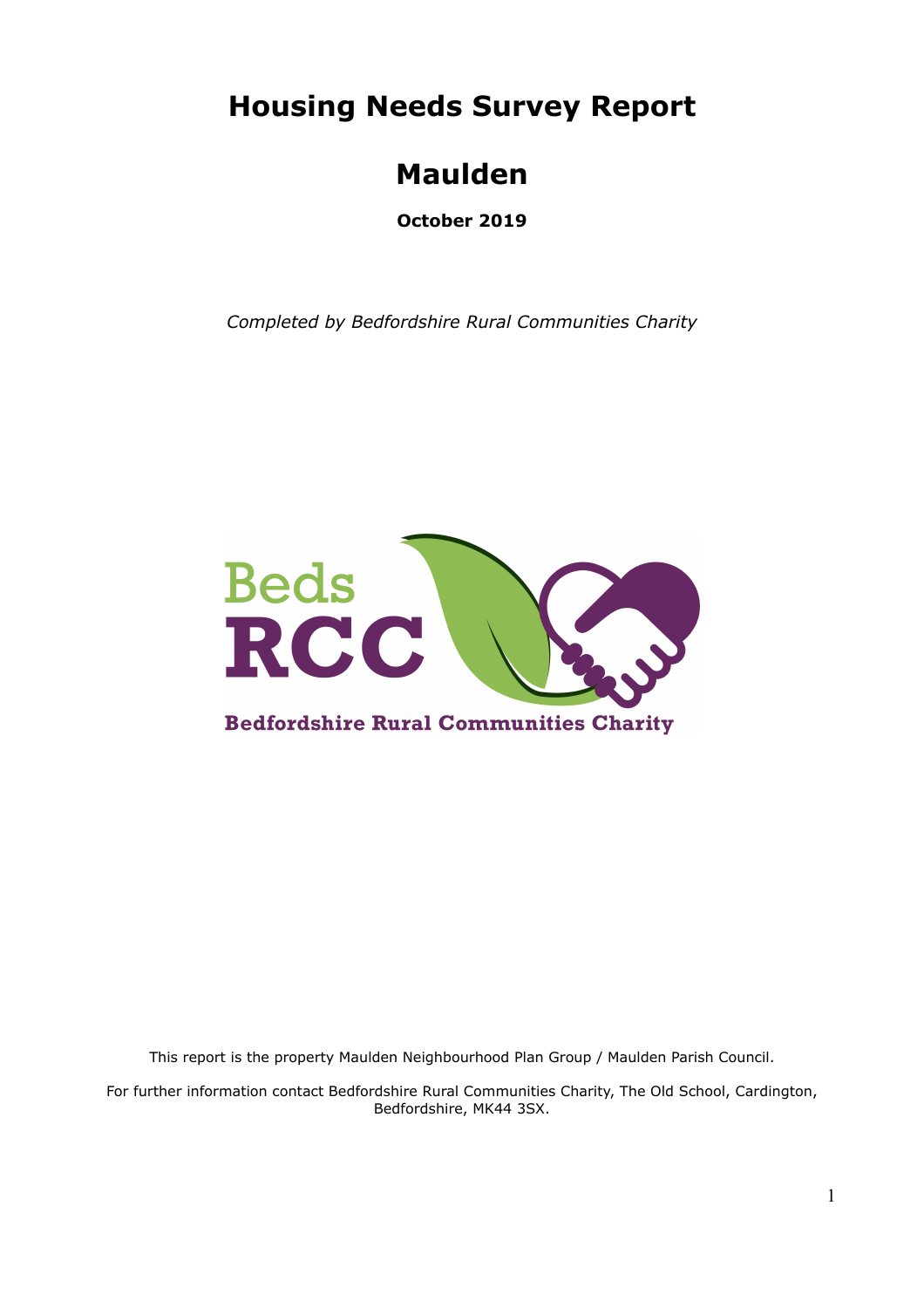**Housing Needs Survey Report**

# **Maulden**

**October 2019**

*Completed by Bedfordshire Rural Communities Charity*



This report is the property Maulden Neighbourhood Plan Group / Maulden Parish Council.

For further information contact Bedfordshire Rural Communities Charity, The Old School, Cardington, Bedfordshire, MK44 3SX.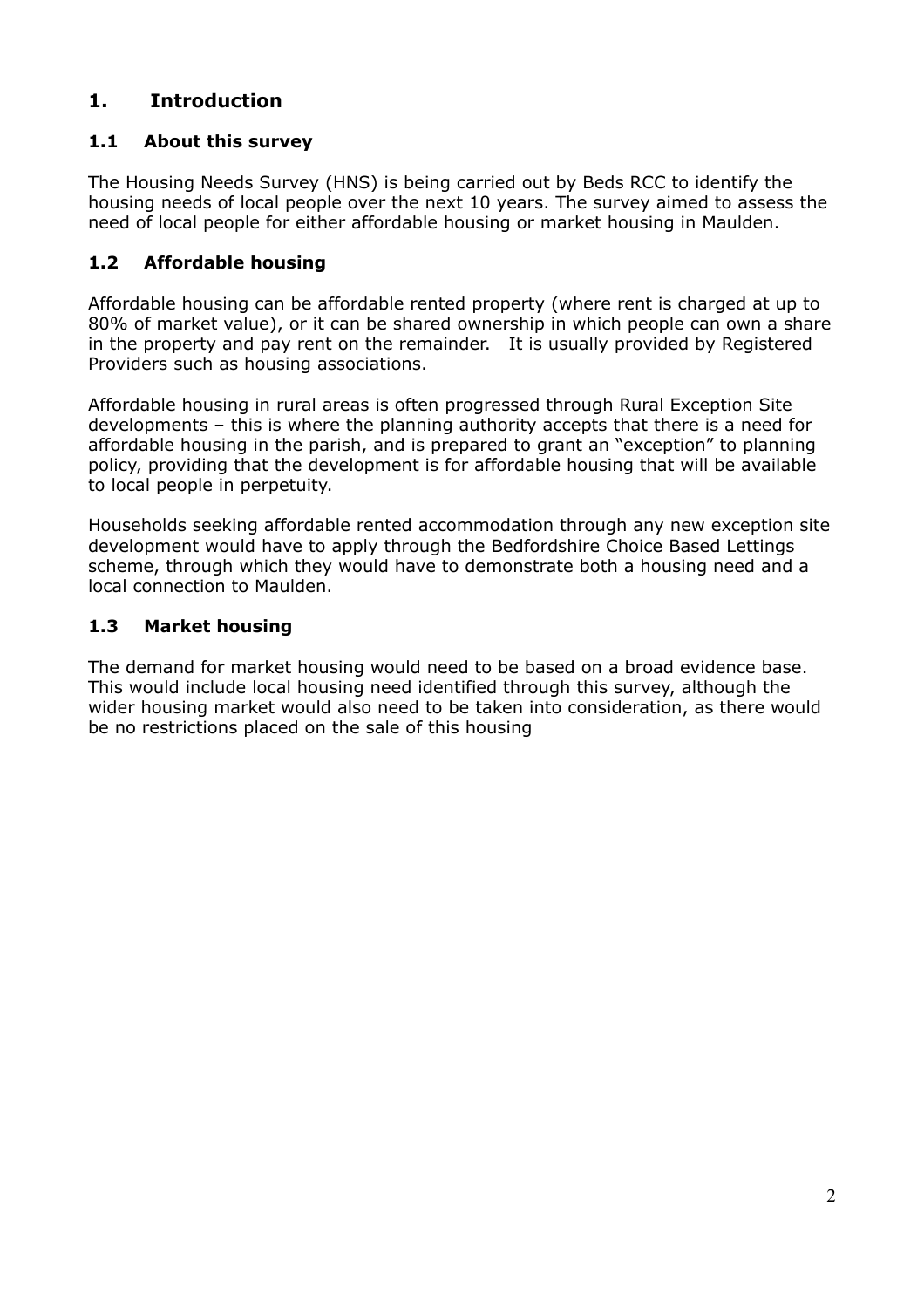# **1. Introduction**

# **1.1 About this survey**

The Housing Needs Survey (HNS) is being carried out by Beds RCC to identify the housing needs of local people over the next 10 years. The survey aimed to assess the need of local people for either affordable housing or market housing in Maulden.

## **1.2 Affordable housing**

Affordable housing can be affordable rented property (where rent is charged at up to 80% of market value), or it can be shared ownership in which people can own a share in the property and pay rent on the remainder. It is usually provided by Registered Providers such as housing associations.

Affordable housing in rural areas is often progressed through Rural Exception Site developments – this is where the planning authority accepts that there is a need for affordable housing in the parish, and is prepared to grant an "exception" to planning policy, providing that the development is for affordable housing that will be available to local people in perpetuity.

Households seeking affordable rented accommodation through any new exception site development would have to apply through the Bedfordshire Choice Based Lettings scheme, through which they would have to demonstrate both a housing need and a local connection to Maulden.

#### **1.3 Market housing**

The demand for market housing would need to be based on a broad evidence base. This would include local housing need identified through this survey, although the wider housing market would also need to be taken into consideration, as there would be no restrictions placed on the sale of this housing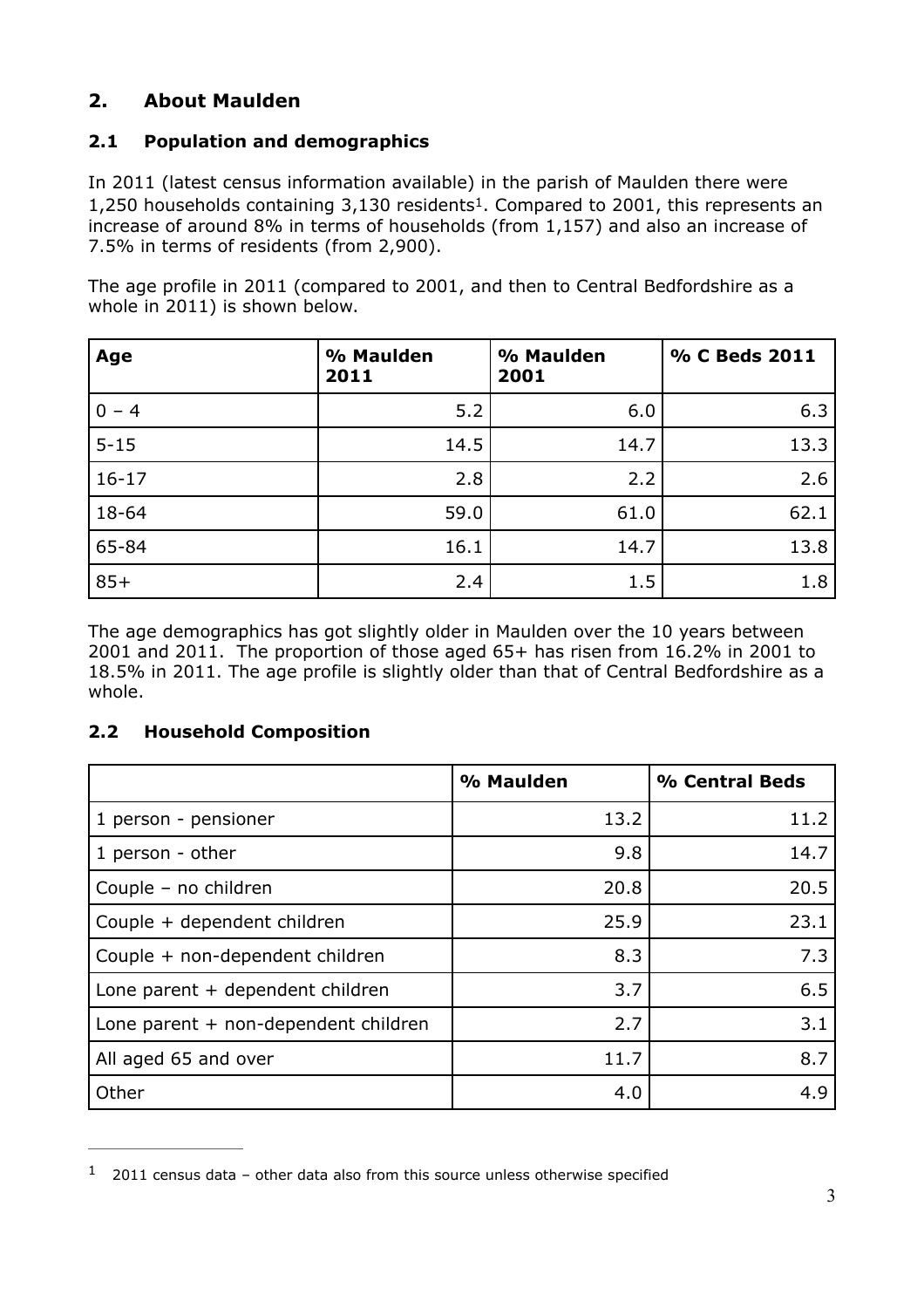# **2. About Maulden**

# **2.1 Population and demographics**

<span id="page-2-1"></span>In 2011 (latest census information available) in the parish of Maulden there were [1](#page-2-0),250 households containing  $3,130$  residents<sup>1</sup>[.](#page-2-0) Compared to 2001, this represents an increase of around 8% in terms of households (from 1,157) and also an increase of 7.5% in terms of residents (from 2,900).

The age profile in 2011 (compared to 2001, and then to Central Bedfordshire as a whole in 2011) is shown below.

| Age       | % Maulden<br>2011 | % Maulden<br>2001 | % C Beds 2011 |
|-----------|-------------------|-------------------|---------------|
| $0 - 4$   | 5.2               | 6.0               | 6.3           |
| $5 - 15$  | 14.5              | 14.7              | 13.3          |
| $16 - 17$ | 2.8               | 2.2               | 2.6           |
| 18-64     | 59.0              | 61.0              | 62.1          |
| 65-84     | 16.1              | 14.7              | 13.8          |
| $85+$     | 2.4               | 1.5               | 1.8           |

The age demographics has got slightly older in Maulden over the 10 years between 2001 and 2011. The proportion of those aged 65+ has risen from 16.2% in 2001 to 18.5% in 2011. The age profile is slightly older than that of Central Bedfordshire as a whole.

#### **2.2 Household Composition**

|                                        | % Maulden | % Central Beds |
|----------------------------------------|-----------|----------------|
| 1 person - pensioner                   | 13.2      | 11.2           |
| 1 person - other                       | 9.8       | 14.7           |
| Couple - no children                   | 20.8      | 20.5           |
| Couple + dependent children            | 25.9      | 23.1           |
| Couple + non-dependent children        | 8.3       | 7.3            |
| Lone parent + dependent children       | 3.7       | 6.5            |
| Lone parent $+$ non-dependent children | 2.7       | 3.1            |
| All aged 65 and over                   | 11.7      | 8.7            |
| Other                                  | 4.0       | 4.9            |

<span id="page-2-0"></span> $1$  2011 census data – other data also from this source unless otherwise specified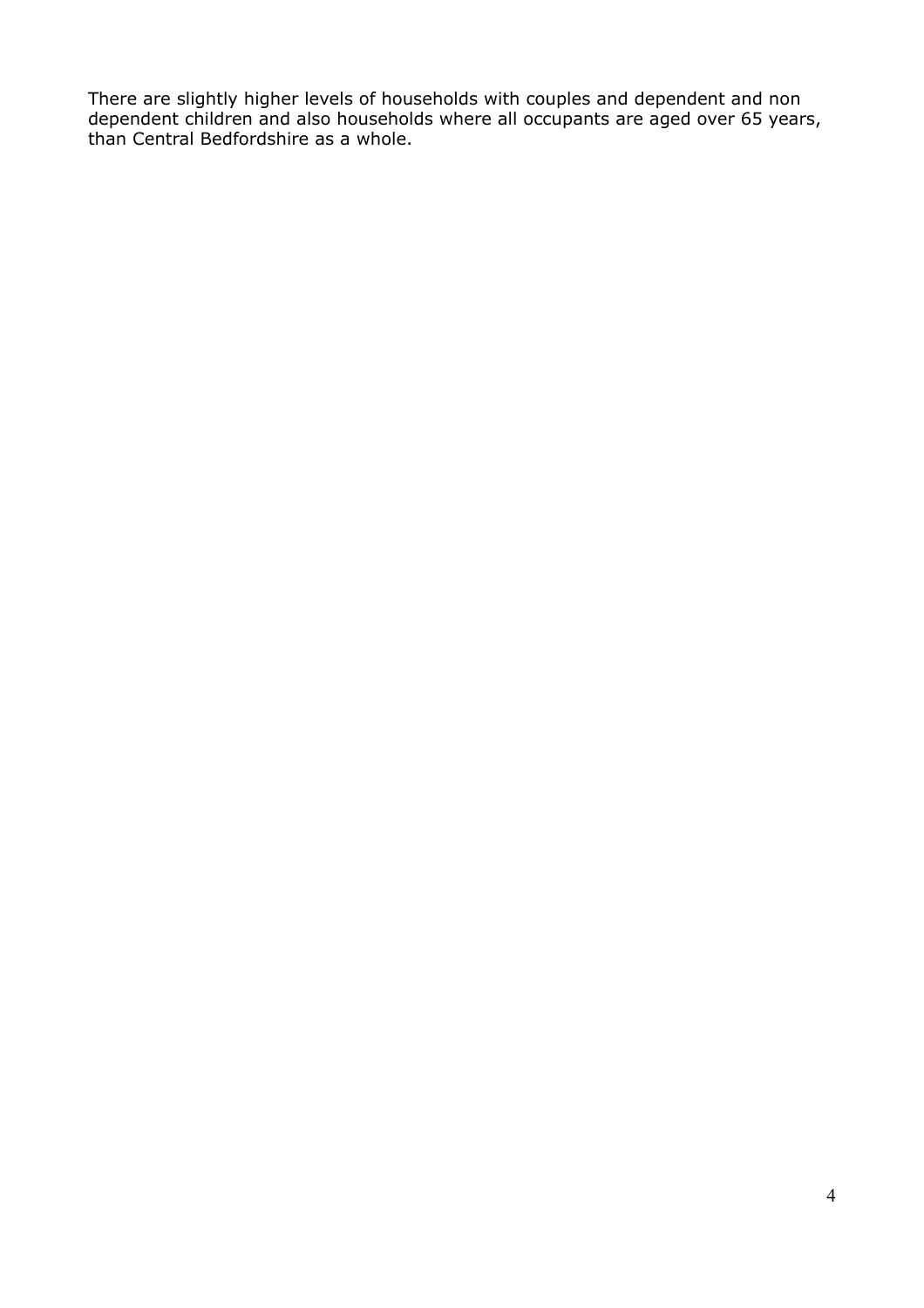There are slightly higher levels of households with couples and dependent and non dependent children and also households where all occupants are aged over 65 years, than Central Bedfordshire as a whole.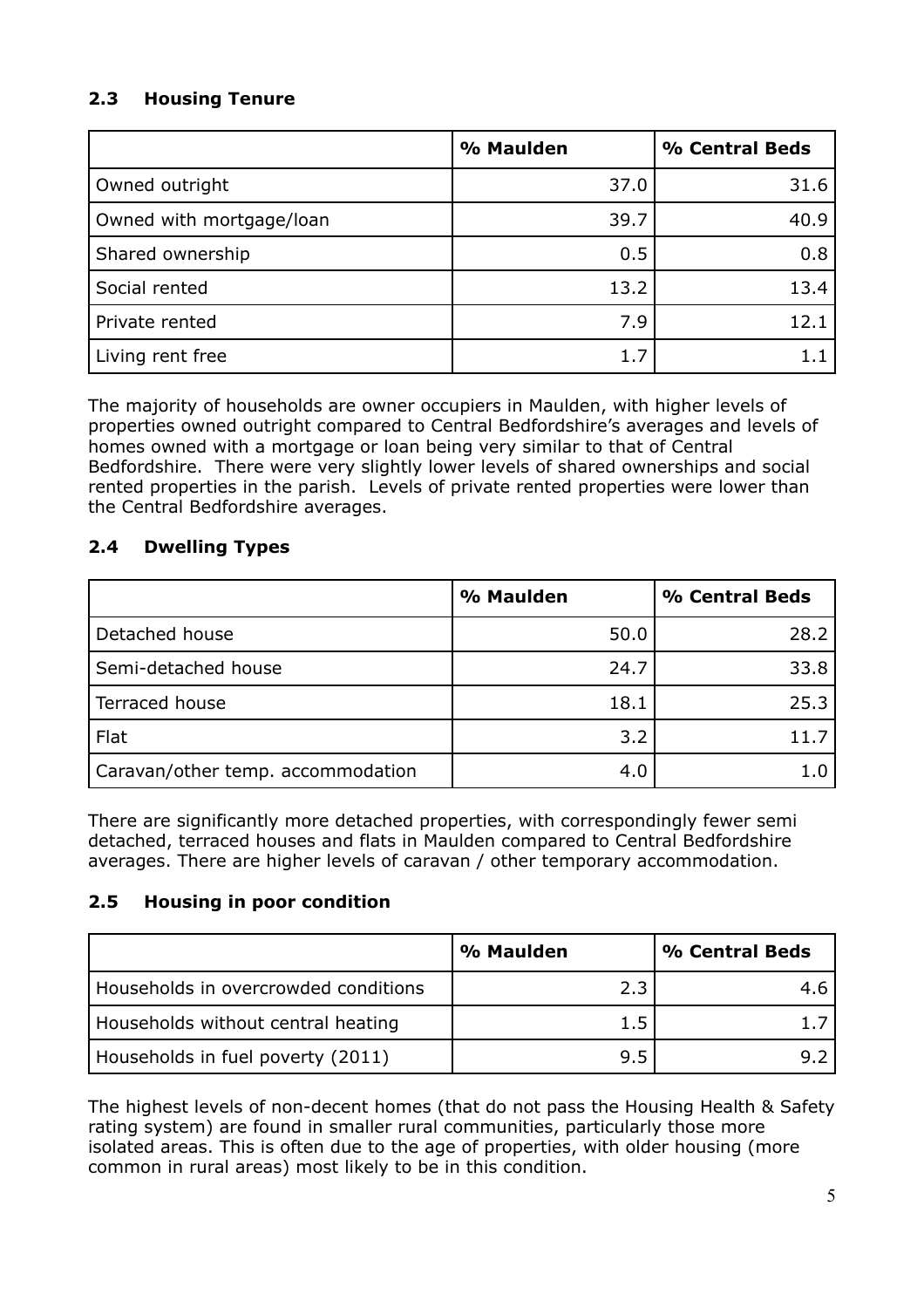# **2.3 Housing Tenure**

|                          | % Maulden | % Central Beds |
|--------------------------|-----------|----------------|
| Owned outright           | 37.0      | 31.6           |
| Owned with mortgage/loan | 39.7      | 40.9           |
| Shared ownership         | 0.5       | 0.8            |
| Social rented            | 13.2      | 13.4           |
| Private rented           | 7.9       | 12.1           |
| Living rent free         | 1.7       |                |

The majority of households are owner occupiers in Maulden, with higher levels of properties owned outright compared to Central Bedfordshire's averages and levels of homes owned with a mortgage or loan being very similar to that of Central Bedfordshire. There were very slightly lower levels of shared ownerships and social rented properties in the parish. Levels of private rented properties were lower than the Central Bedfordshire averages.

#### **2.4 Dwelling Types**

|                                   | % Maulden | % Central Beds |
|-----------------------------------|-----------|----------------|
| Detached house                    | 50.0      | 28.2           |
| Semi-detached house               | 24.7      | 33.8           |
| Terraced house                    | 18.1      | 25.3           |
| Flat                              | 3.2       | 11 7           |
| Caravan/other temp. accommodation | 4.0       |                |

There are significantly more detached properties, with correspondingly fewer semi detached, terraced houses and flats in Maulden compared to Central Bedfordshire averages. There are higher levels of caravan / other temporary accommodation.

#### **2.5 Housing in poor condition**

|                                      | % Maulden | % Central Beds |
|--------------------------------------|-----------|----------------|
| Households in overcrowded conditions | 2.3       |                |
| Households without central heating   | 1.5       |                |
| Households in fuel poverty (2011)    | 9.5       |                |

The highest levels of non-decent homes (that do not pass the Housing Health & Safety rating system) are found in smaller rural communities, particularly those more isolated areas. This is often due to the age of properties, with older housing (more common in rural areas) most likely to be in this condition.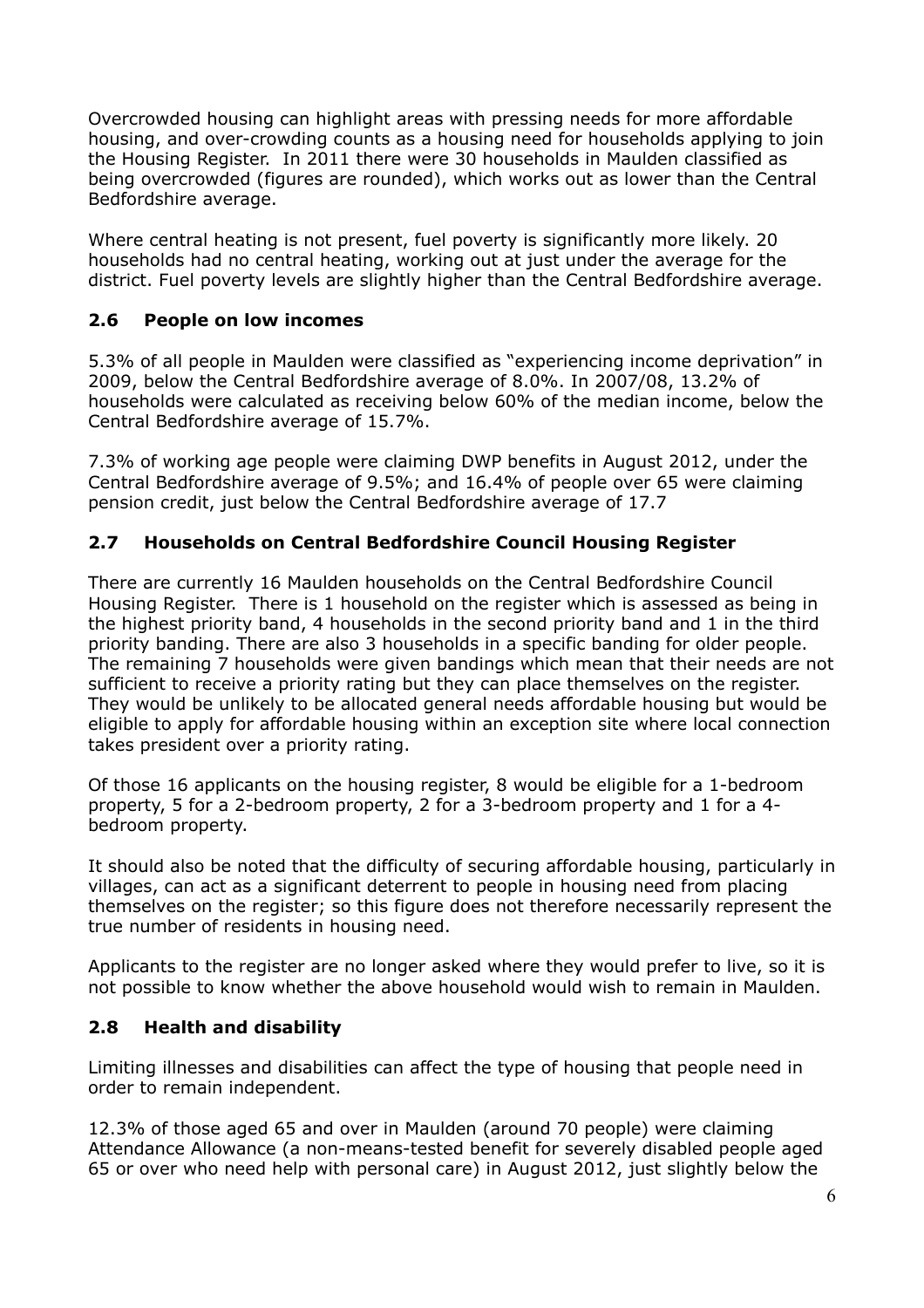Overcrowded housing can highlight areas with pressing needs for more affordable housing, and over-crowding counts as a housing need for households applying to join the Housing Register. In 2011 there were 30 households in Maulden classified as being overcrowded (figures are rounded), which works out as lower than the Central Bedfordshire average.

Where central heating is not present, fuel poverty is significantly more likely. 20 households had no central heating, working out at just under the average for the district. Fuel poverty levels are slightly higher than the Central Bedfordshire average.

#### **2.6 People on low incomes**

5.3% of all people in Maulden were classified as "experiencing income deprivation" in 2009, below the Central Bedfordshire average of 8.0%. In 2007/08, 13.2% of households were calculated as receiving below 60% of the median income, below the Central Bedfordshire average of 15.7%.

7.3% of working age people were claiming DWP benefits in August 2012, under the Central Bedfordshire average of 9.5%; and 16.4% of people over 65 were claiming pension credit, just below the Central Bedfordshire average of 17.7

#### **2.7 Households on Central Bedfordshire Council Housing Register**

There are currently 16 Maulden households on the Central Bedfordshire Council Housing Register. There is 1 household on the register which is assessed as being in the highest priority band, 4 households in the second priority band and 1 in the third priority banding. There are also 3 households in a specific banding for older people. The remaining 7 households were given bandings which mean that their needs are not sufficient to receive a priority rating but they can place themselves on the register. They would be unlikely to be allocated general needs affordable housing but would be eligible to apply for affordable housing within an exception site where local connection takes president over a priority rating.

Of those 16 applicants on the housing register, 8 would be eligible for a 1-bedroom property, 5 for a 2-bedroom property, 2 for a 3-bedroom property and 1 for a 4 bedroom property.

It should also be noted that the difficulty of securing affordable housing, particularly in villages, can act as a significant deterrent to people in housing need from placing themselves on the register; so this figure does not therefore necessarily represent the true number of residents in housing need.

Applicants to the register are no longer asked where they would prefer to live, so it is not possible to know whether the above household would wish to remain in Maulden.

#### **2.8 Health and disability**

Limiting illnesses and disabilities can affect the type of housing that people need in order to remain independent.

12.3% of those aged 65 and over in Maulden (around 70 people) were claiming Attendance Allowance (a non-means-tested benefit for severely disabled people aged 65 or over who need help with personal care) in August 2012, just slightly below the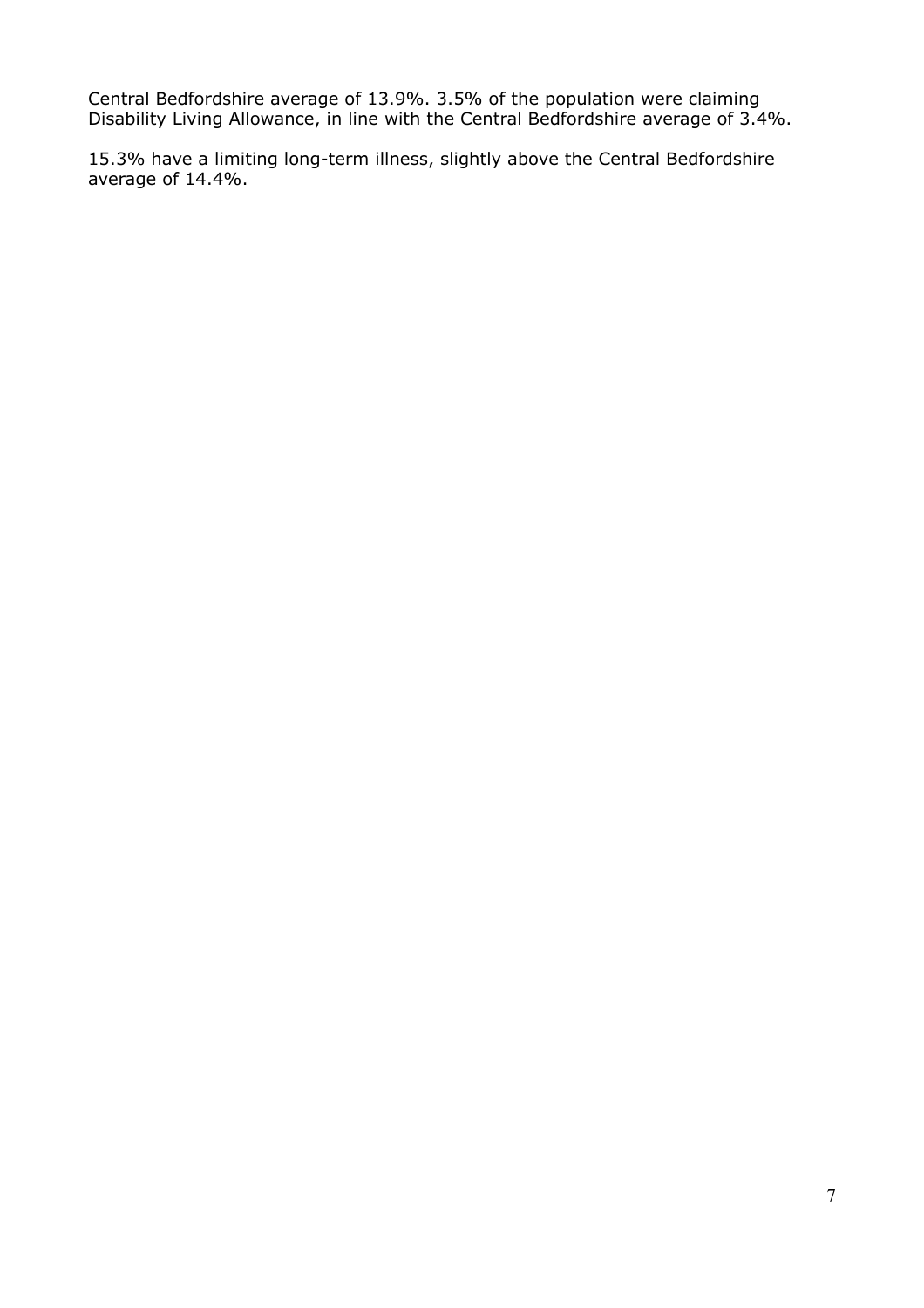Central Bedfordshire average of 13.9%. 3.5% of the population were claiming Disability Living Allowance, in line with the Central Bedfordshire average of 3.4%.

15.3% have a limiting long-term illness, slightly above the Central Bedfordshire average of 14.4%.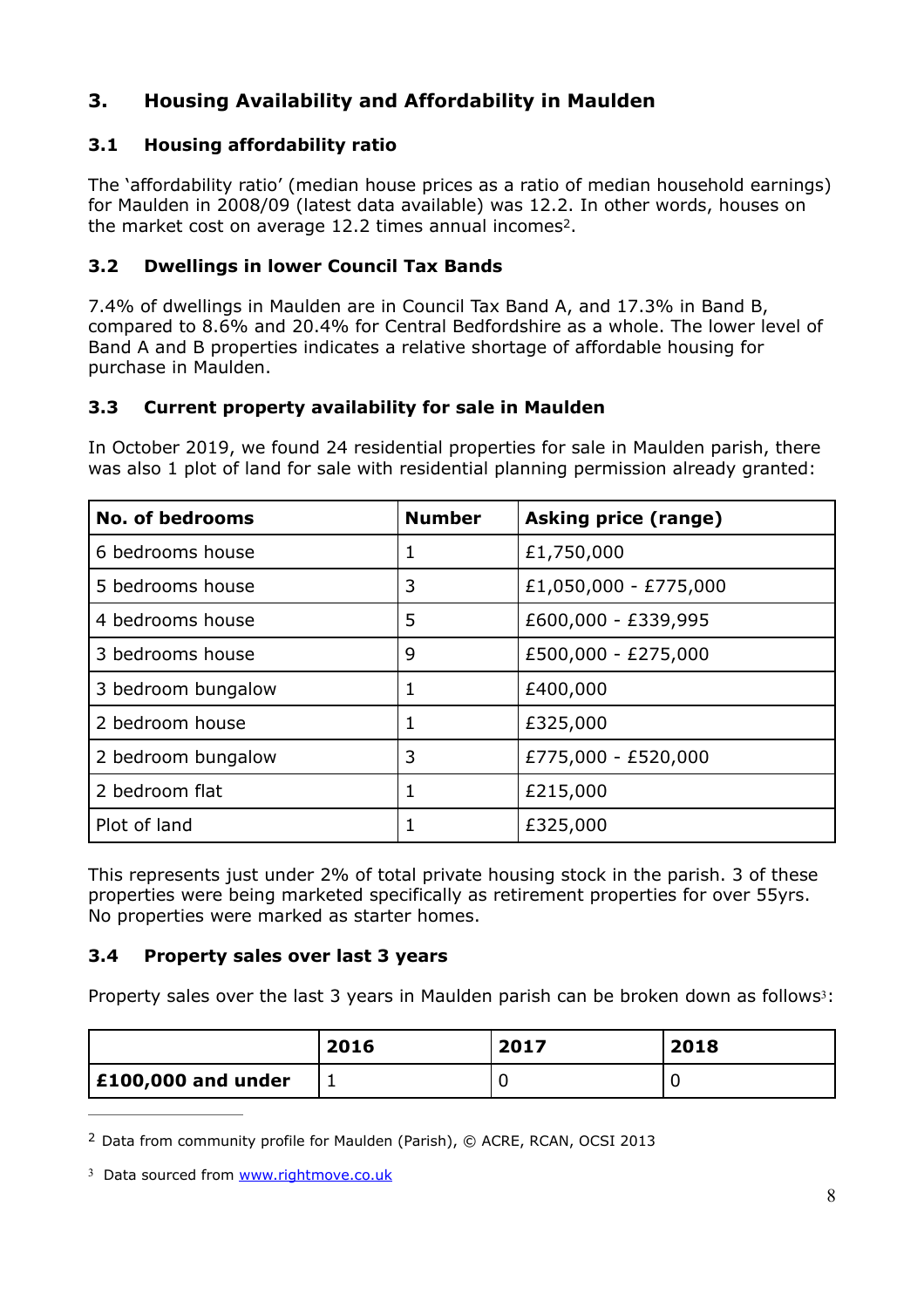# **3. Housing Availability and Affordability in Maulden**

# **3.1 Housing affordability ratio**

The 'affordability ratio' (median house prices as a ratio of median household earnings) for Maulden in 2008/09 (latest data available) was 12.2. In other words, houses on the market cost on average 1[2](#page-7-0).2 times annual incomes<sup>2</sup>.

## <span id="page-7-2"></span>**3.2 Dwellings in lower Council Tax Bands**

7.4% of dwellings in Maulden are in Council Tax Band A, and 17.3% in Band B, compared to 8.6% and 20.4% for Central Bedfordshire as a whole. The lower level of Band A and B properties indicates a relative shortage of affordable housing for purchase in Maulden.

# **3.3 Current property availability for sale in Maulden**

In October 2019, we found 24 residential properties for sale in Maulden parish, there was also 1 plot of land for sale with residential planning permission already granted:

| <b>No. of bedrooms</b> | <b>Number</b> | <b>Asking price (range)</b> |
|------------------------|---------------|-----------------------------|
| 6 bedrooms house       | 1             | £1,750,000                  |
| 5 bedrooms house       | 3             | £1,050,000 - £775,000       |
| 4 bedrooms house       | 5             | £600,000 - £339,995         |
| 3 bedrooms house       | 9             | £500,000 - £275,000         |
| 3 bedroom bungalow     | 1             | £400,000                    |
| 2 bedroom house        | 1             | £325,000                    |
| 2 bedroom bungalow     | 3             | £775,000 - £520,000         |
| 2 bedroom flat         | 1             | £215,000                    |
| Plot of land           |               | £325,000                    |

This represents just under 2% of total private housing stock in the parish. 3 of these properties were being marketed specifically as retirement properties for over 55yrs. No properties were marked as starter homes.

#### **3.4 Property sales over last 3 years**

<span id="page-7-3"></span>Property sales over the last [3](#page-7-1) years in Maulden parish can be broken down as follows<sup>3</sup>:

|                            | 2016 | 2017 | 2018 |
|----------------------------|------|------|------|
| $\vert$ £100,000 and under | -    |      |      |

<span id="page-7-0"></span>[2](#page-7-2) Data from community profile for Maulden (Parish), © ACRE, RCAN, OCSI 2013

<span id="page-7-1"></span>[3](#page-7-3) Data sourced from [www.rightmove.co.uk](http://www.rightmove.co.uk)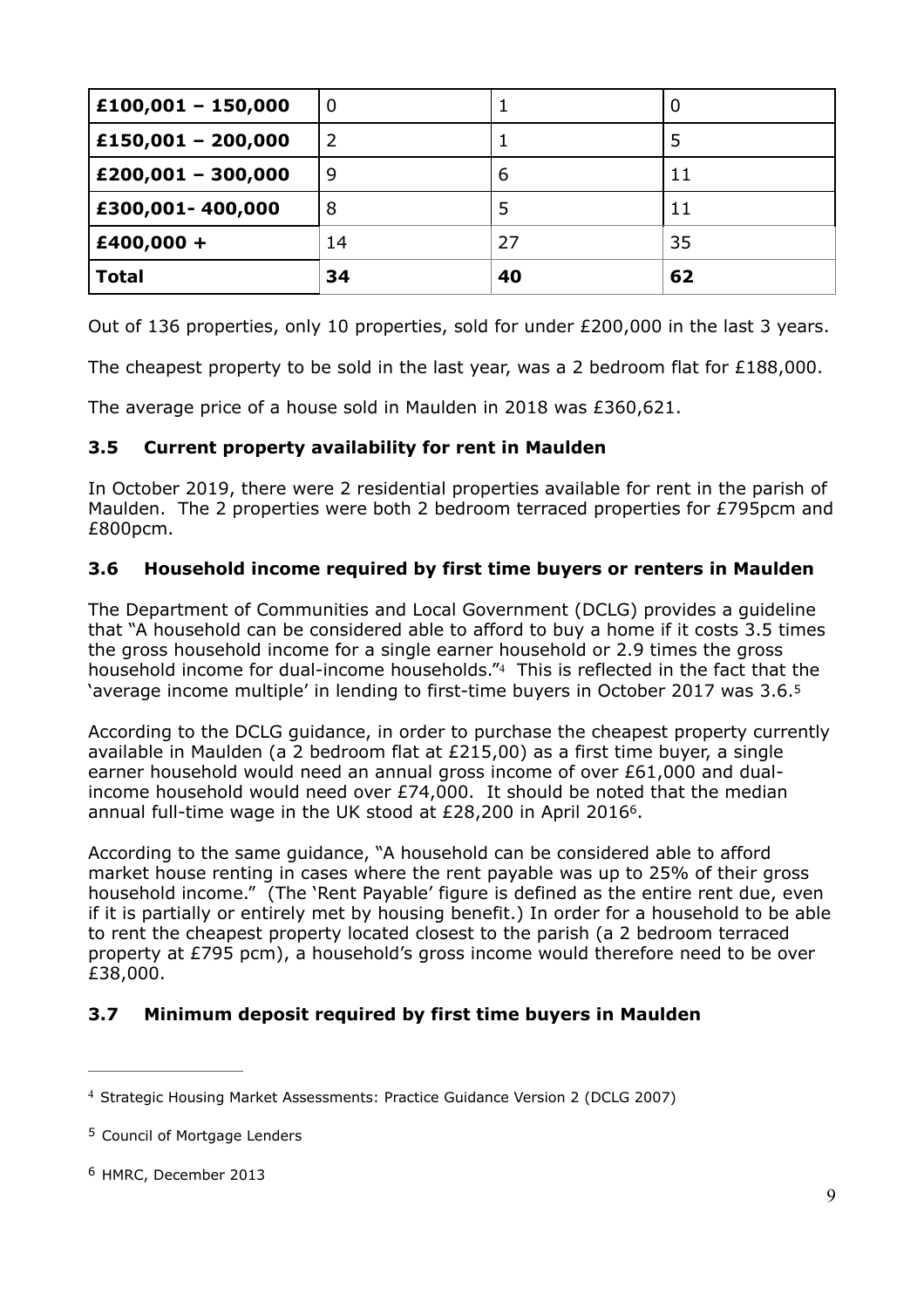| $£100,001 - 150,000$ | $\boldsymbol{0}$ |    | U  |
|----------------------|------------------|----|----|
| £150,001 - 200,000   | 2                |    | 5  |
| $£200,001 - 300,000$ | 9                | 6  | 11 |
| £300,001-400,000     | 8                |    | 11 |
| $£400,000 +$         | 14               | 27 | 35 |
| <b>Total</b>         | 34               | 40 | 62 |

Out of 136 properties, only 10 properties, sold for under £200,000 in the last 3 years.

The cheapest property to be sold in the last year, was a 2 bedroom flat for  $£188,000$ .

The average price of a house sold in Maulden in 2018 was £360,621.

#### **3.5 Current property availability for rent in Maulden**

In October 2019, there were 2 residential properties available for rent in the parish of Maulden. The 2 properties were both 2 bedroom terraced properties for £795pcm and £800pcm.

#### **3.6 Household income required by first time buyers or renters in Maulden**

<span id="page-8-3"></span>The Department of Communities and Local Government (DCLG) provides a guideline that "A household can be considered able to afford to buy a home if it costs 3.5 times the gross household income for a single earner household or 2.9 times the gross household income for dual-income households."4 This is reflected in the fact that the 'average income multiple' in lending to first-time buyers in October 2017 was 3.6[.5](#page-8-1)

<span id="page-8-4"></span>According to the DCLG guidance, in order to purchase the cheapest property currently available in Maulden (a 2 bedroom flat at £215,00) as a first time buyer, a single earner household would need an annual gross income of over £61,000 and dualincome household would need over £74,000. It should be noted that the median annual full-time wage in the UK stood at  $£28,200$  in April 201[6](#page-8-2)<sup>6</sup>.

<span id="page-8-5"></span>According to the same guidance, "A household can be considered able to afford market house renting in cases where the rent payable was up to 25% of their gross household income." (The 'Rent Payable' figure is defined as the entire rent due, even if it is partially or entirely met by housing benefit.) In order for a household to be able to rent the cheapest property located closest to the parish (a 2 bedroom terraced property at £795 pcm), a household's gross income would therefore need to be over £38,000.

#### **3.7 Minimum deposit required by first time buyers in Maulden**

<span id="page-8-0"></span><sup>&</sup>lt;sup>[4](#page-8-3)</sup> Strategic Housing Market Assessments: Practice Guidance Version 2 (DCLG 2007)

<span id="page-8-1"></span><sup>&</sup>lt;sup>[5](#page-8-4)</sup> Council of Mortgage Lenders

<span id="page-8-2"></span>[<sup>6</sup>](#page-8-5) HMRC, December 2013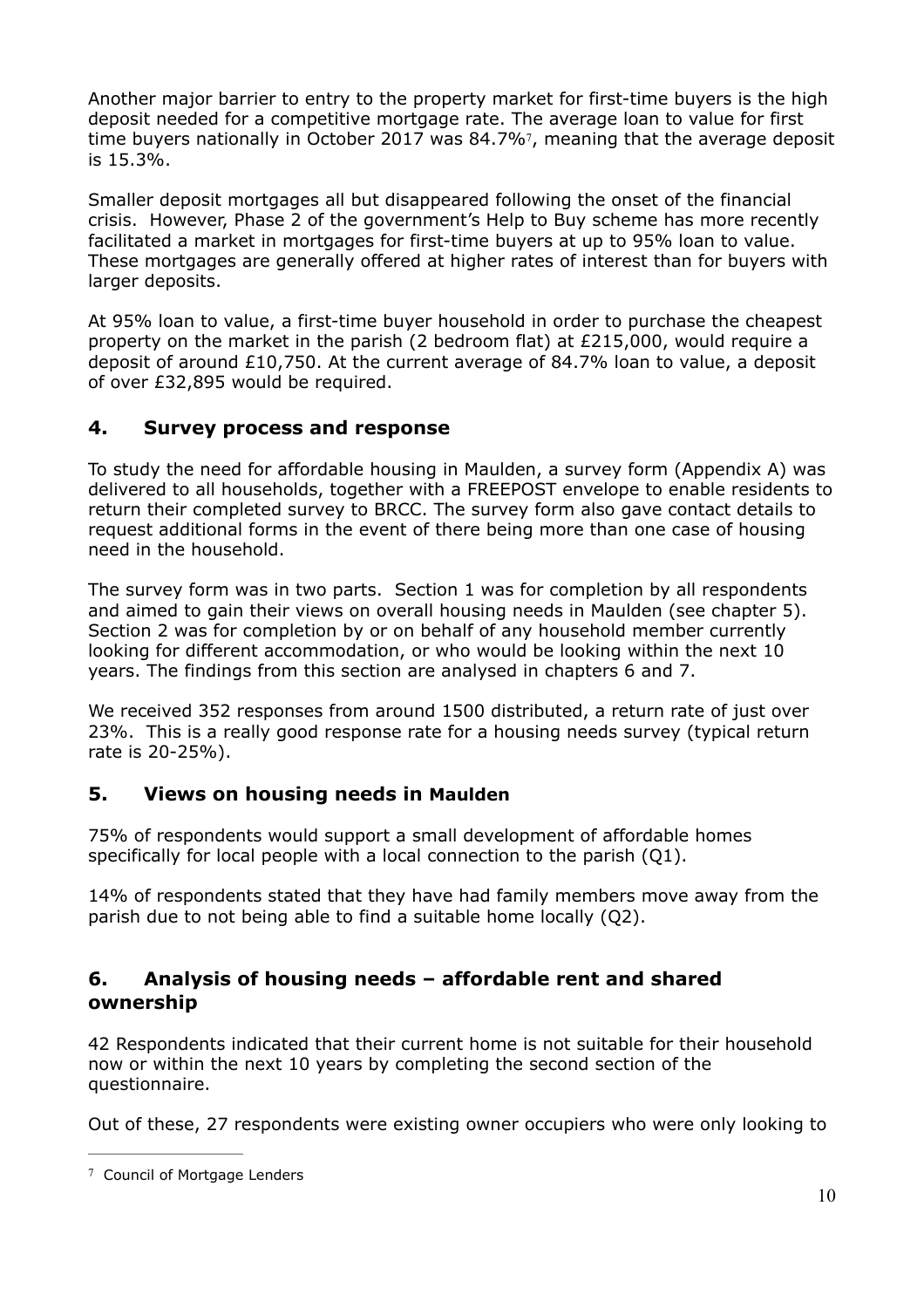<span id="page-9-1"></span>Another major barrier to entry to the property market for first-time buyers is the high deposit needed for a competitive mortgage rate. The average loan to value for first time buyers nationally in October 201[7](#page-9-0) was  $84.7\%$ <sup>7</sup>, meaning that the average deposit is 15.3%.

Smaller deposit mortgages all but disappeared following the onset of the financial crisis. However, Phase 2 of the government's Help to Buy scheme has more recently facilitated a market in mortgages for first-time buyers at up to 95% loan to value. These mortgages are generally offered at higher rates of interest than for buyers with larger deposits.

At 95% loan to value, a first-time buyer household in order to purchase the cheapest property on the market in the parish (2 bedroom flat) at £215,000, would require a deposit of around £10,750. At the current average of 84.7% loan to value, a deposit of over £32,895 would be required.

# **4. Survey process and response**

To study the need for affordable housing in Maulden, a survey form (Appendix A) was delivered to all households, together with a FREEPOST envelope to enable residents to return their completed survey to BRCC. The survey form also gave contact details to request additional forms in the event of there being more than one case of housing need in the household.

The survey form was in two parts. Section 1 was for completion by all respondents and aimed to gain their views on overall housing needs in Maulden (see chapter 5). Section 2 was for completion by or on behalf of any household member currently looking for different accommodation, or who would be looking within the next 10 years. The findings from this section are analysed in chapters 6 and 7.

We received 352 responses from around 1500 distributed, a return rate of just over 23%. This is a really good response rate for a housing needs survey (typical return rate is 20-25%).

# **5. Views on housing needs in Maulden**

75% of respondents would support a small development of affordable homes specifically for local people with a local connection to the parish (Q1).

14% of respondents stated that they have had family members move away from the parish due to not being able to find a suitable home locally (Q2).

# **6. Analysis of housing needs – affordable rent and shared ownership**

42 Respondents indicated that their current home is not suitable for their household now or within the next 10 years by completing the second section of the questionnaire.

Out of these, 27 respondents were existing owner occupiers who were only looking to

<span id="page-9-0"></span><sup>&</sup>lt;sup>[7](#page-9-1)</sup> Council of Mortgage Lenders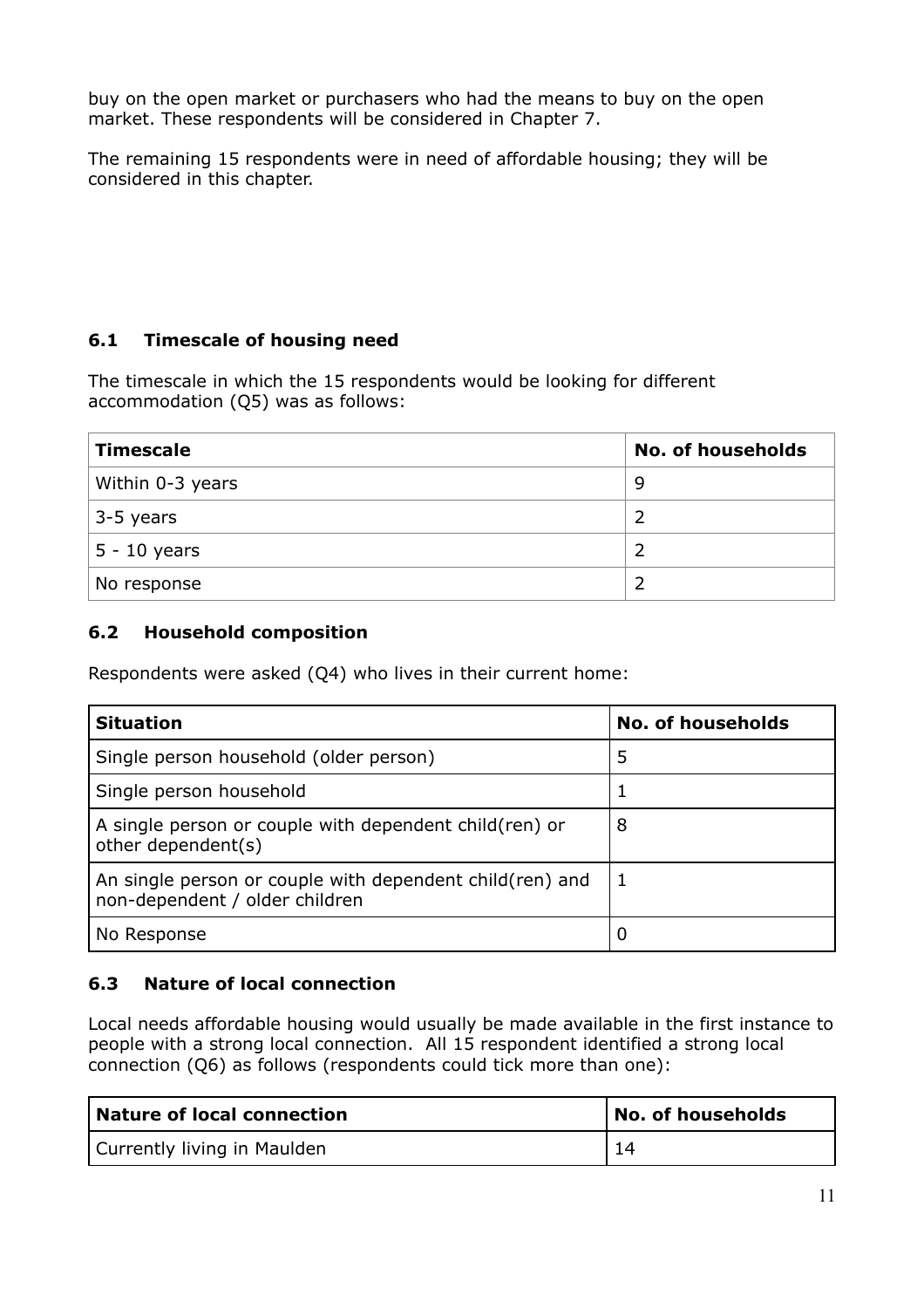buy on the open market or purchasers who had the means to buy on the open market. These respondents will be considered in Chapter 7.

The remaining 15 respondents were in need of affordable housing; they will be considered in this chapter.

# **6.1 Timescale of housing need**

The timescale in which the 15 respondents would be looking for different accommodation (Q5) was as follows:

| <b>Timescale</b> | <b>No. of households</b> |
|------------------|--------------------------|
| Within 0-3 years | 9                        |
| 3-5 years        |                          |
| $5 - 10$ years   |                          |
| No response      |                          |

#### **6.2 Household composition**

Respondents were asked (Q4) who lives in their current home:

| <b>Situation</b>                                                                            | <b>No. of households</b> |
|---------------------------------------------------------------------------------------------|--------------------------|
| Single person household (older person)                                                      | 5                        |
| Single person household                                                                     |                          |
| A single person or couple with dependent child (ren) or<br>other dependent(s)               | 8                        |
| An single person or couple with dependent child (ren) and<br>non-dependent / older children |                          |
| No Response                                                                                 |                          |

#### **6.3 Nature of local connection**

Local needs affordable housing would usually be made available in the first instance to people with a strong local connection. All 15 respondent identified a strong local connection (Q6) as follows (respondents could tick more than one):

| Nature of local connection  | $^{\text{!}}$ No. of households |
|-----------------------------|---------------------------------|
| Currently living in Maulden |                                 |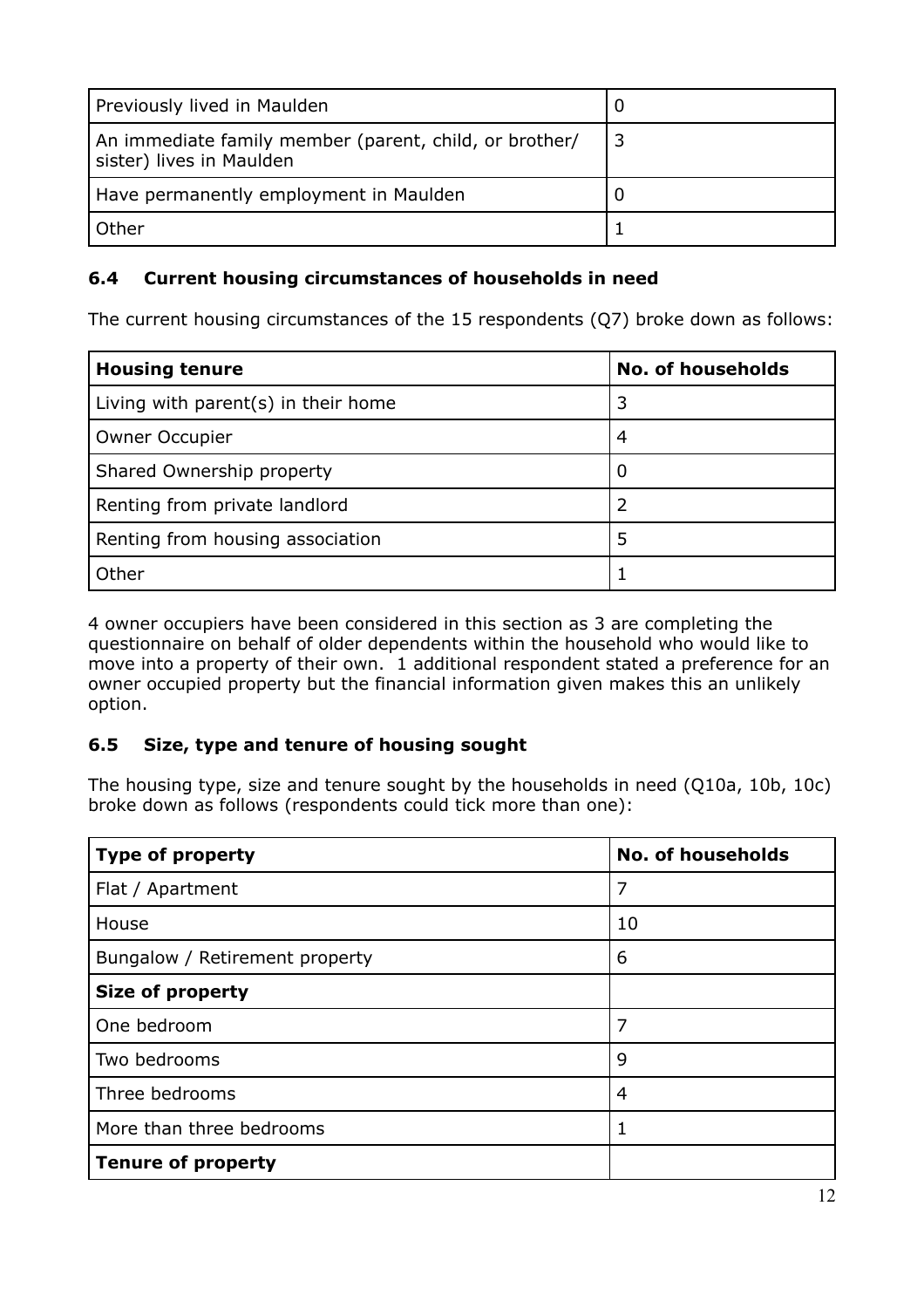| Previously lived in Maulden                                                        |  |
|------------------------------------------------------------------------------------|--|
| An immediate family member (parent, child, or brother/<br>sister) lives in Maulden |  |
| Have permanently employment in Maulden                                             |  |
| Other                                                                              |  |

#### **6.4 Current housing circumstances of households in need**

The current housing circumstances of the 15 respondents (Q7) broke down as follows:

| <b>Housing tenure</b>               | <b>No. of households</b> |
|-------------------------------------|--------------------------|
| Living with parent(s) in their home | 3                        |
| <b>Owner Occupier</b>               | 4                        |
| Shared Ownership property           |                          |
| Renting from private landlord       |                          |
| Renting from housing association    | 5                        |
| Other                               |                          |

4 owner occupiers have been considered in this section as 3 are completing the questionnaire on behalf of older dependents within the household who would like to move into a property of their own. 1 additional respondent stated a preference for an owner occupied property but the financial information given makes this an unlikely option.

# **6.5 Size, type and tenure of housing sought**

The housing type, size and tenure sought by the households in need (Q10a, 10b, 10c) broke down as follows (respondents could tick more than one):

| <b>Type of property</b>        | <b>No. of households</b> |
|--------------------------------|--------------------------|
| Flat / Apartment               | 7                        |
| House                          | 10                       |
| Bungalow / Retirement property | 6                        |
| <b>Size of property</b>        |                          |
| One bedroom                    | 7                        |
| Two bedrooms                   | 9                        |
| Three bedrooms                 | 4                        |
| More than three bedrooms       | 1                        |
| <b>Tenure of property</b>      |                          |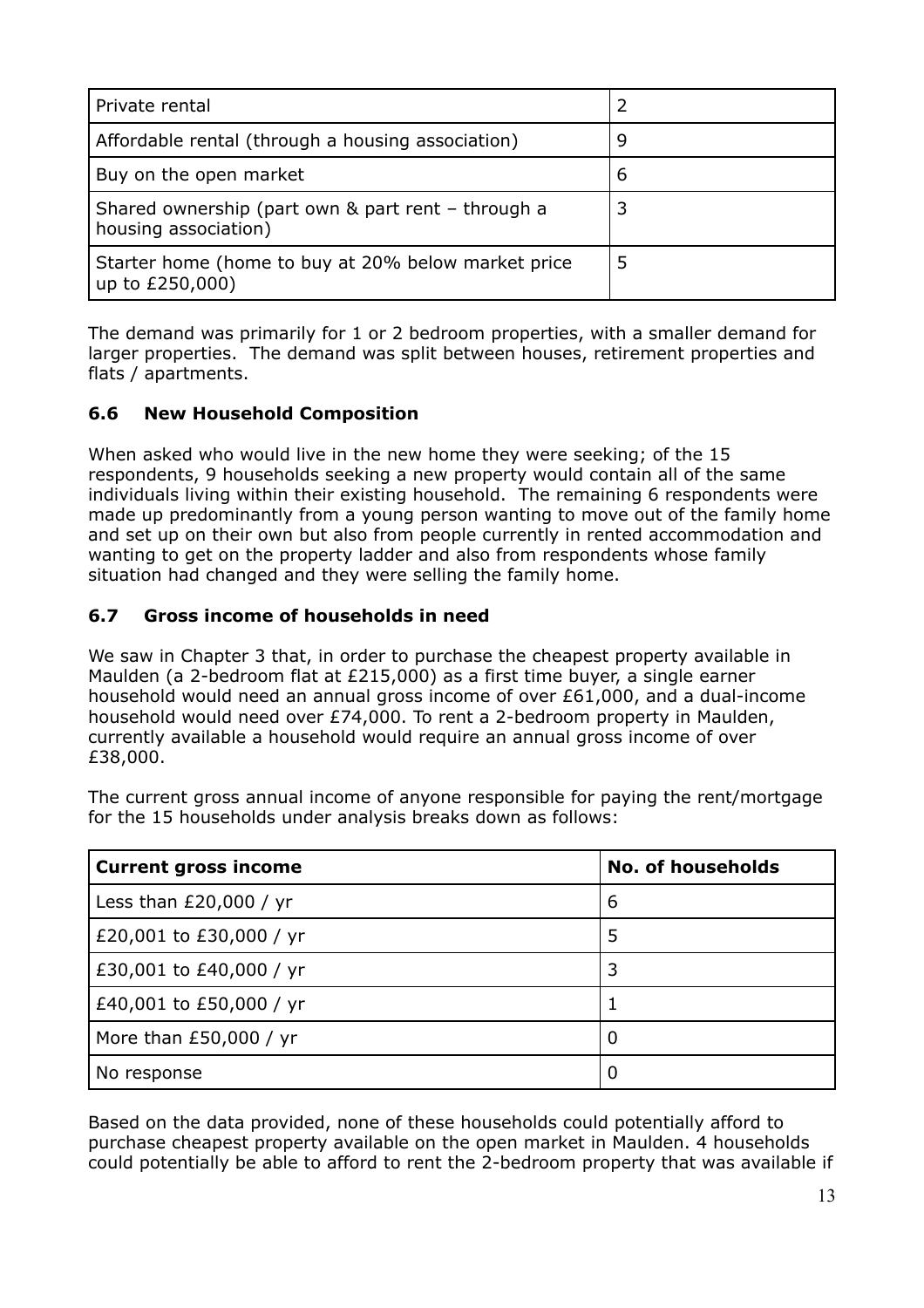| Private rental                                                             |   |
|----------------------------------------------------------------------------|---|
| Affordable rental (through a housing association)                          | ч |
| Buy on the open market                                                     | 6 |
| Shared ownership (part own & part rent - through a<br>housing association) |   |
| Starter home (home to buy at 20% below market price<br>up to £250,000)     | 5 |

The demand was primarily for 1 or 2 bedroom properties, with a smaller demand for larger properties. The demand was split between houses, retirement properties and flats / apartments.

#### **6.6 New Household Composition**

When asked who would live in the new home they were seeking; of the 15 respondents, 9 households seeking a new property would contain all of the same individuals living within their existing household. The remaining 6 respondents were made up predominantly from a young person wanting to move out of the family home and set up on their own but also from people currently in rented accommodation and wanting to get on the property ladder and also from respondents whose family situation had changed and they were selling the family home.

#### **6.7 Gross income of households in need**

We saw in Chapter 3 that, in order to purchase the cheapest property available in Maulden (a 2-bedroom flat at £215,000) as a first time buyer, a single earner household would need an annual gross income of over £61,000, and a dual-income household would need over £74,000. To rent a 2-bedroom property in Maulden, currently available a household would require an annual gross income of over £38,000.

The current gross annual income of anyone responsible for paying the rent/mortgage for the 15 households under analysis breaks down as follows:

| <b>Current gross income</b> | <b>No. of households</b> |
|-----------------------------|--------------------------|
| Less than $£20,000 / yr$    | 6                        |
| £20,001 to £30,000 / yr     | 5                        |
| £30,001 to £40,000 / yr     | 3                        |
| £40,001 to £50,000 / yr     |                          |
| More than $£50,000 / yr$    | 0                        |
| No response                 | 0                        |

Based on the data provided, none of these households could potentially afford to purchase cheapest property available on the open market in Maulden. 4 households could potentially be able to afford to rent the 2-bedroom property that was available if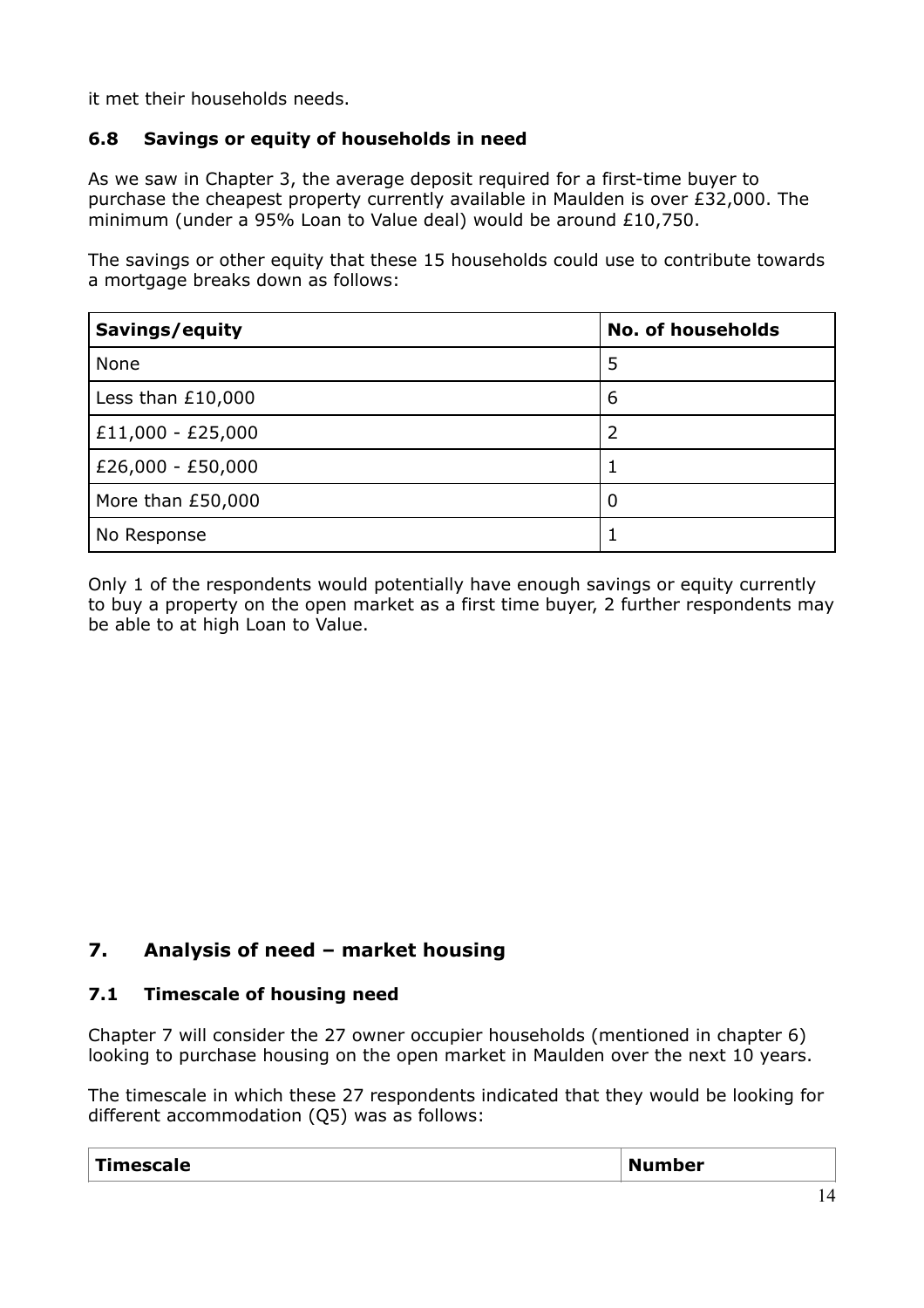it met their households needs.

## **6.8 Savings or equity of households in need**

As we saw in Chapter 3, the average deposit required for a first-time buyer to purchase the cheapest property currently available in Maulden is over £32,000. The minimum (under a 95% Loan to Value deal) would be around £10,750.

The savings or other equity that these 15 households could use to contribute towards a mortgage breaks down as follows:

| Savings/equity      | <b>No. of households</b> |
|---------------------|--------------------------|
| None                | 5                        |
| Less than $£10,000$ | 6                        |
| $£11,000 - £25,000$ | 2                        |
| $£26,000 - £50,000$ |                          |
| More than £50,000   | 0                        |
| No Response         |                          |

Only 1 of the respondents would potentially have enough savings or equity currently to buy a property on the open market as a first time buyer, 2 further respondents may be able to at high Loan to Value.

# **7. Analysis of need – market housing**

#### **7.1 Timescale of housing need**

Chapter 7 will consider the 27 owner occupier households (mentioned in chapter 6) looking to purchase housing on the open market in Maulden over the next 10 years.

The timescale in which these 27 respondents indicated that they would be looking for different accommodation (Q5) was as follows:

| .<br>----<br>$\ldots$ due to $\blacksquare$<br>" | M<br><b>The Company</b> |  |
|--------------------------------------------------|-------------------------|--|
|--------------------------------------------------|-------------------------|--|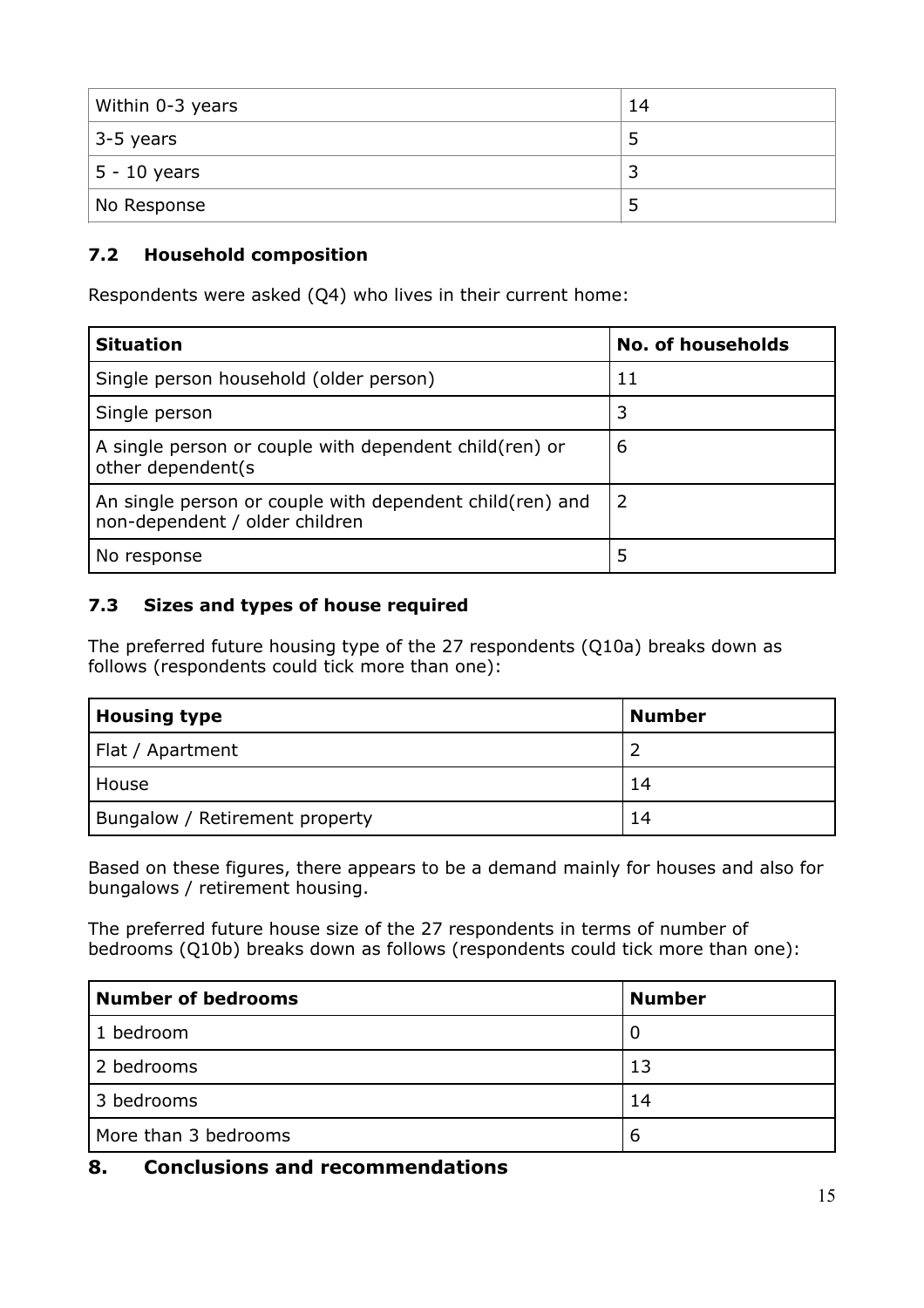| Within 0-3 years | 14 |
|------------------|----|
| $3-5$ years      | 5  |
| $ 5 - 10$ years  | в  |
| No Response      | 5  |

# **7.2 Household composition**

Respondents were asked (Q4) who lives in their current home:

| <b>Situation</b>                                                                            | <b>No. of households</b> |
|---------------------------------------------------------------------------------------------|--------------------------|
| Single person household (older person)                                                      | 11                       |
| Single person                                                                               | 3                        |
| A single person or couple with dependent child (ren) or<br>other dependent(s                | 6                        |
| An single person or couple with dependent child (ren) and<br>non-dependent / older children | 2                        |
| No response                                                                                 | 5                        |

#### **7.3 Sizes and types of house required**

The preferred future housing type of the 27 respondents (Q10a) breaks down as follows (respondents could tick more than one):

| <b>Housing type</b>            | <b>Number</b> |
|--------------------------------|---------------|
| Flat / Apartment               |               |
| House                          | 14            |
| Bungalow / Retirement property | 14            |

Based on these figures, there appears to be a demand mainly for houses and also for bungalows / retirement housing.

The preferred future house size of the 27 respondents in terms of number of bedrooms (Q10b) breaks down as follows (respondents could tick more than one):

| <b>Number of bedrooms</b> | <b>Number</b> |
|---------------------------|---------------|
| 1 bedroom                 |               |
| 2 bedrooms                | 13            |
| 3 bedrooms                | 14            |
| More than 3 bedrooms      | b             |

# **8. Conclusions and recommendations**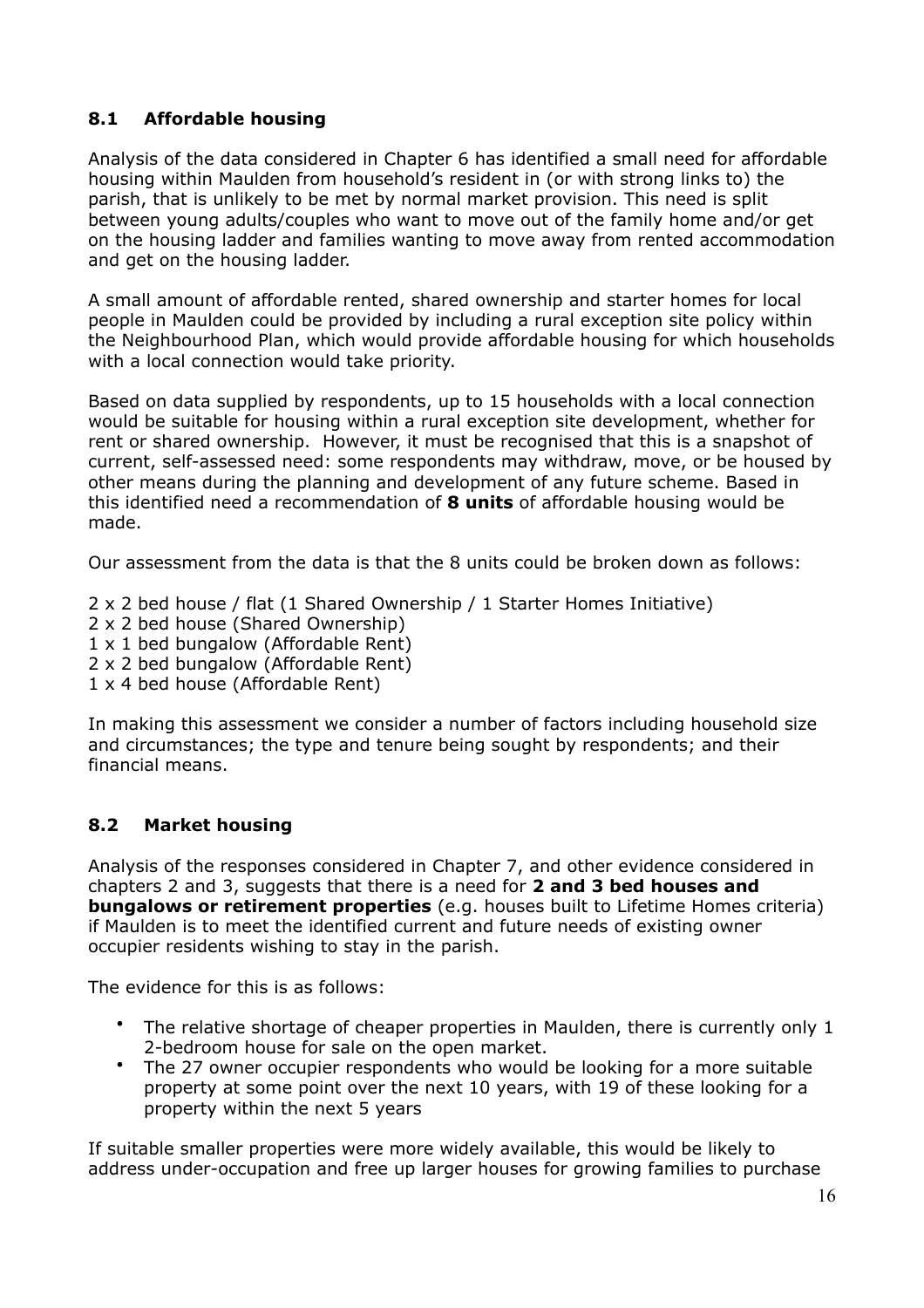## **8.1 Affordable housing**

Analysis of the data considered in Chapter 6 has identified a small need for affordable housing within Maulden from household's resident in (or with strong links to) the parish, that is unlikely to be met by normal market provision. This need is split between young adults/couples who want to move out of the family home and/or get on the housing ladder and families wanting to move away from rented accommodation and get on the housing ladder.

A small amount of affordable rented, shared ownership and starter homes for local people in Maulden could be provided by including a rural exception site policy within the Neighbourhood Plan, which would provide affordable housing for which households with a local connection would take priority.

Based on data supplied by respondents, up to 15 households with a local connection would be suitable for housing within a rural exception site development, whether for rent or shared ownership. However, it must be recognised that this is a snapshot of current, self-assessed need: some respondents may withdraw, move, or be housed by other means during the planning and development of any future scheme. Based in this identified need a recommendation of **8 units** of affordable housing would be made.

Our assessment from the data is that the 8 units could be broken down as follows:

- 2 x 2 bed house / flat (1 Shared Ownership / 1 Starter Homes Initiative)
- 2 x 2 bed house (Shared Ownership)
- 1 x 1 bed bungalow (Affordable Rent)
- 2 x 2 bed bungalow (Affordable Rent)
- 1 x 4 bed house (Affordable Rent)

In making this assessment we consider a number of factors including household size and circumstances; the type and tenure being sought by respondents; and their financial means.

#### **8.2 Market housing**

Analysis of the responses considered in Chapter 7, and other evidence considered in chapters 2 and 3, suggests that there is a need for **2 and 3 bed houses and bungalows or retirement properties** (e.g. houses built to Lifetime Homes criteria) if Maulden is to meet the identified current and future needs of existing owner occupier residents wishing to stay in the parish.

The evidence for this is as follows:

- The relative shortage of cheaper properties in Maulden, there is currently only 1 2-bedroom house for sale on the open market.
- The 27 owner occupier respondents who would be looking for a more suitable property at some point over the next 10 years, with 19 of these looking for a property within the next 5 years

If suitable smaller properties were more widely available, this would be likely to address under-occupation and free up larger houses for growing families to purchase